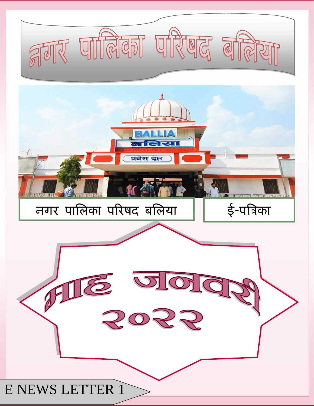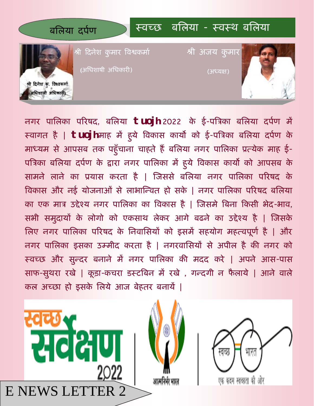

नगर पालऱका पररषद, बलऱया **tuojh** 2022 के ई-पत्रिका बलऱया दपपण में स्वागत है | **tuojh** माह में हु ये त्रवकास कायो को ई-पत्रिका बलऱया दपपण के माध्यम से आपसब तक पहुंचाना चाहते है बलिया नगर पालिका प्रत्येक माह ई-पत्रिका बलिया दर्पण के द्वारा नगर पालिका में हुये विकास कार्यों को आपसब के सामने लाने का प्रयास करता है | जिससे बलिया नगर पालिका परिषद के विकास और नई योजनाओं से लाभान्वित हो सके | नगर पालिका परिषद बलिया का एक मात्र उद्देश्य नगर पालिका का विकास है | जिसमे बिना किसी भेद-भाव, सभी समुदायों के लोगो को एकसाथ लेकर आगे बढने का उद्देश्य है | जिसके लिए नगर पालिका परिषद के निवासियों को इसमें सहयोग महत्वपूर्ण है | और नगर पालऱका इसका उम्मीद करता है | नगरवालसयों से अपीऱ है की नगर को स्वच्छ और सुवदर बनाने में नगर पालऱका की मदद करे | अपने आस-पास साफ-सुथरा रखे | कूड़ा-कचरा डस्टबिन में रखे , गन्दगी न फैलाये | आने वाले कऱ अच्छा हो इसके लऱये आज बेहतर बनायें |

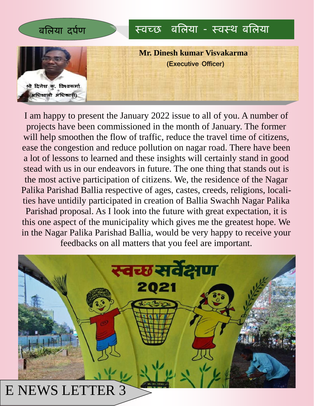

I am happy to present the January 2022 issue to all of you. A number of projects have been commissioned in the month of January. The former will help smoothen the flow of traffic, reduce the travel time of citizens, ease the congestion and reduce pollution on nagar road. There have been a lot of lessons to learned and these insights will certainly stand in good stead with us in our endeavors in future. The one thing that stands out is the most active participation of citizens. We, the residence of the Nagar Palika Parishad Ballia respective of ages, castes, creeds, religions, localities have untidily participated in creation of Ballia Swachh Nagar Palika Parishad proposal. As I look into the future with great expectation, it is this one aspect of the municipality which gives me the greatest hope. We in the Nagar Palika Parishad Ballia, would be very happy to receive your feedbacks on all matters that you feel are important.

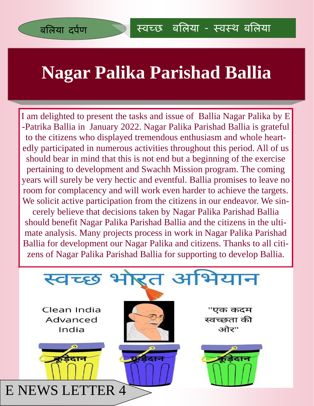#### **Nagar Palika Parishad Ballia**

I am delighted to present the tasks and issue of Ballia Nagar Palika by E -Patrika Ballia in January 2022. Nagar Palika Parishad Ballia is grateful to the citizens who displayed tremendous enthusiasm and whole heartedly participated in numerous activities throughout this period. All of us should bear in mind that this is not end but a beginning of the exercise pertaining to development and Swachh Mission program. The coming years will surely be very hectic and eventful. Ballia promises to leave no room for complacency and will work even harder to achieve the targets. We solicit active participation from the citizens in our endeavor. We sincerely believe that decisions taken by Nagar Palika Parishad Ballia should benefit Nagar Palika Parishad Ballia and the citizens in the ultimate analysis. Many projects process in work in Nagar Palika Parishad Ballia for development our Nagar Palika and citizens. Thanks to all citizens of Nagar Palika Parishad Ballia for supporting to develop Ballia.

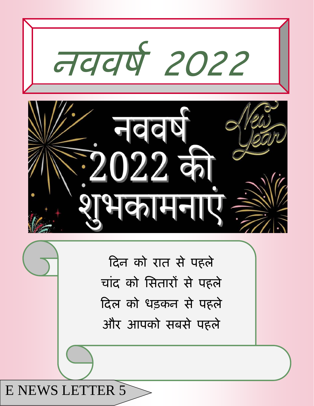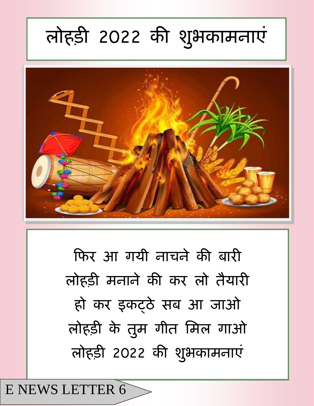### **रोहड़ी 2022 की शुबकाभनाएॊ**



कफर आ गयी नाचने की बारी ऱोहड़ी मनाने की कर ऱो तैयारी हो कर इकट्ठे सब आ जाओ लोहड़ी के तुम गीत मिल गाओ लोहड़ी 2022 की शुभकामनाएं

E NEWS LETTER 6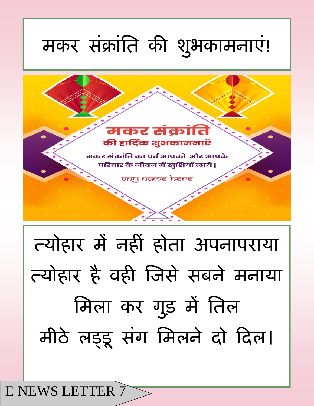# त्योहार में नहीॊ होता अपनापराया त्योहार है वही जजसे सबने मनाया मिला कर गुड़ में तिल मीठे लड़ूइ संग मिलने दो दिल।



### मकर संक्रांति की शुभकामनाएं!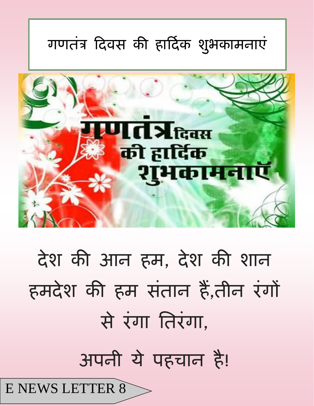

## अपनी ये पहचान है!

# देश की आन हम, देश की शान हमदेश की हम संतान हैं,तीन रंगों से रंगा तिरंगा,



#### **गणतॊि ददवस की हाददपक शुबकाभनाएॊ**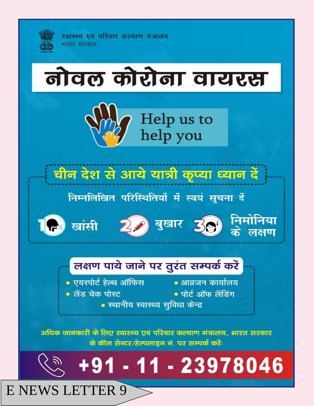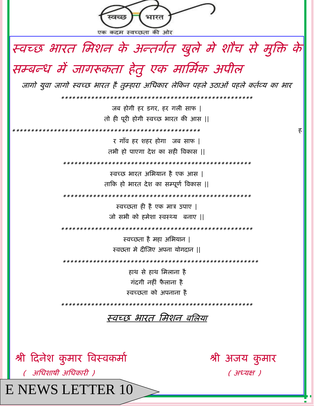

**E NEWS LETTER 10**